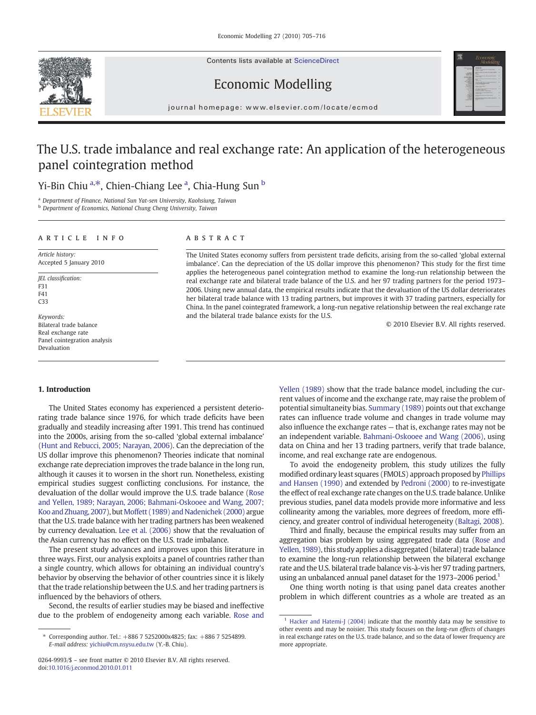Contents lists available at [ScienceDirect](http://www.sciencedirect.com/science/journal/02649993)





Economic Modelling

journal homepage: www.elsevier.com/locate/ecmod

## The U.S. trade imbalance and real exchange rate: An application of the heterogeneous panel cointegration method

Yi-Bin Chiu <sup>a,\*</sup>, Chien-Chiang Lee <sup>a</sup>, Chia-Hung Sun <sup>b</sup>

<sup>a</sup> Department of Finance, National Sun Yat-sen University, Kaohsiung, Taiwan

**b** Department of Economics, National Chung Cheng University, Taiwan

### article info abstract

Article history: Accepted 5 January 2010

JEL classification: F31 F41 C33

Keywords: Bilateral trade balance Real exchange rate Panel cointegration analysis Devaluation

The United States economy suffers from persistent trade deficits, arising from the so-called 'global external imbalance'. Can the depreciation of the US dollar improve this phenomenon? This study for the first time applies the heterogeneous panel cointegration method to examine the long-run relationship between the real exchange rate and bilateral trade balance of the U.S. and her 97 trading partners for the period 1973– 2006. Using new annual data, the empirical results indicate that the devaluation of the US dollar deteriorates her bilateral trade balance with 13 trading partners, but improves it with 37 trading partners, especially for China. In the panel cointegrated framework, a long-run negative relationship between the real exchange rate and the bilateral trade balance exists for the U.S.

© 2010 Elsevier B.V. All rights reserved.

#### 1. Introduction

The United States economy has experienced a persistent deteriorating trade balance since 1976, for which trade deficits have been gradually and steadily increasing after 1991. This trend has continued into the 2000s, arising from the so-called 'global external imbalance' [\(Hunt and Rebucci, 2005; Narayan, 2006\)](#page--1-0). Can the depreciation of the US dollar improve this phenomenon? Theories indicate that nominal exchange rate depreciation improves the trade balance in the long run, although it causes it to worsen in the short run. Nonetheless, existing empirical studies suggest conflicting conclusions. For instance, the devaluation of the dollar would improve the U.S. trade balance ([Rose](#page--1-0) [and Yellen, 1989; Narayan, 2006; Bahmani-Oskooee and Wang, 2007;](#page--1-0) [Koo and Zhuang, 2007](#page--1-0)), but [Moffett \(1989\) and Nadenichek \(2000\)](#page--1-0) argue that the U.S. trade balance with her trading partners has been weakened by currency devaluation. [Lee et al. \(2006\)](#page--1-0) show that the revaluation of the Asian currency has no effect on the U.S. trade imbalance.

The present study advances and improves upon this literature in three ways. First, our analysis exploits a panel of countries rather than a single country, which allows for obtaining an individual country's behavior by observing the behavior of other countries since it is likely that the trade relationship between the U.S. and her trading partners is influenced by the behaviors of others.

Second, the results of earlier studies may be biased and ineffective due to the problem of endogeneity among each variable. [Rose and](#page--1-0) [Yellen \(1989\)](#page--1-0) show that the trade balance model, including the current values of income and the exchange rate, may raise the problem of potential simultaneity bias. [Summary \(1989\)](#page--1-0) points out that exchange rates can influence trade volume and changes in trade volume may also influence the exchange rates — that is, exchange rates may not be an independent variable. [Bahmani-Oskooee and Wang \(2006\),](#page--1-0) using data on China and her 13 trading partners, verify that trade balance, income, and real exchange rate are endogenous.

To avoid the endogeneity problem, this study utilizes the fully modified ordinary least squares (FMOLS) approach proposed by [Phillips](#page--1-0) [and Hansen \(1990\)](#page--1-0) and extended by [Pedroni \(2000\)](#page--1-0) to re-investigate the effect of real exchange rate changes on the U.S. trade balance. Unlike previous studies, panel data models provide more informative and less collinearity among the variables, more degrees of freedom, more efficiency, and greater control of individual heterogeneity [\(Baltagi, 2008\)](#page--1-0).

Third and finally, because the empirical results may suffer from an aggregation bias problem by using aggregated trade data [\(Rose and](#page--1-0) [Yellen, 1989](#page--1-0)), this study applies a disaggregated (bilateral) trade balance to examine the long-run relationship between the bilateral exchange rate and the U.S. bilateral trade balance vis-à-vis her 97 trading partners, using an unbalanced annual panel dataset for the 1973–2006 period.<sup>1</sup>

One thing worth noting is that using panel data creates another problem in which different countries as a whole are treated as an

<sup>⁎</sup> Corresponding author. Tel.: +886 7 5252000x4825; fax: +886 7 5254899. E-mail address: [yichiu@cm.nsysu.edu.tw](mailto:yichiu@cm.nsysu.edu.tw) (Y.-B. Chiu).

<sup>0264-9993/\$</sup> – see front matter © 2010 Elsevier B.V. All rights reserved. doi:[10.1016/j.econmod.2010.01.011](http://dx.doi.org/10.1016/j.econmod.2010.01.011)

<sup>&</sup>lt;sup>1</sup> [Hacker and Hatemi-J \(2004\)](#page--1-0) indicate that the monthly data may be sensitive to other events and may be noisier. This study focuses on the long-run effects of changes in real exchange rates on the U.S. trade balance, and so the data of lower frequency are more appropriate.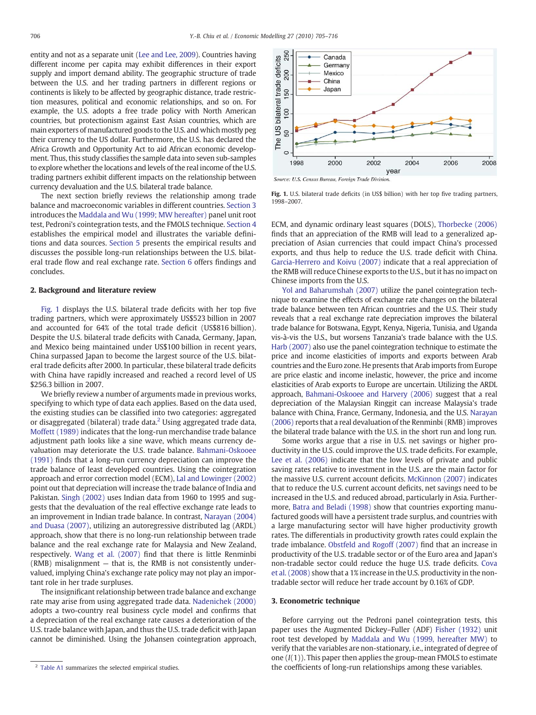entity and not as a separate unit [\(Lee and Lee, 2009](#page--1-0)). Countries having different income per capita may exhibit differences in their export supply and import demand ability. The geographic structure of trade between the U.S. and her trading partners in different regions or continents is likely to be affected by geographic distance, trade restriction measures, political and economic relationships, and so on. For example, the U.S. adopts a free trade policy with North American countries, but protectionism against East Asian countries, which are main exporters of manufactured goods to the U.S. and which mostly peg their currency to the US dollar. Furthermore, the U.S. has declared the Africa Growth and Opportunity Act to aid African economic development. Thus, this study classifies the sample data into seven sub-samples to explore whether the locations and levels of the real income of the U.S. trading partners exhibit different impacts on the relationship between currency devaluation and the U.S. bilateral trade balance.

The next section briefly reviews the relationship among trade balance and macroeconomic variables in different countries. Section 3 introduces the [Maddala and Wu \(1999; MW hereafter\)](#page--1-0) panel unit root test, Pedroni's cointegration tests, and the FMOLS technique. [Section 4](#page--1-0) establishes the empirical model and illustrates the variable definitions and data sources. [Section 5](#page--1-0) presents the empirical results and discusses the possible long-run relationships between the U.S. bilateral trade flow and real exchange rate. [Section 6](#page--1-0) offers findings and concludes.

#### 2. Background and literature review

Fig. 1 displays the U.S. bilateral trade deficits with her top five trading partners, which were approximately US\$523 billion in 2007 and accounted for 64% of the total trade deficit (US\$816 billion). Despite the U.S. bilateral trade deficits with Canada, Germany, Japan, and Mexico being maintained under US\$100 billion in recent years, China surpassed Japan to become the largest source of the U.S. bilateral trade deficits after 2000. In particular, these bilateral trade deficits with China have rapidly increased and reached a record level of US \$256.3 billion in 2007.

We briefly review a number of arguments made in previous works, specifying to which type of data each applies. Based on the data used, the existing studies can be classified into two categories: aggregated or disaggregated (bilateral) trade data.<sup>2</sup> Using aggregated trade data, [Moffett \(1989\)](#page--1-0) indicates that the long-run merchandise trade balance adjustment path looks like a sine wave, which means currency devaluation may deteriorate the U.S. trade balance. [Bahmani-Oskooee](#page--1-0) [\(1991\)](#page--1-0) finds that a long-run currency depreciation can improve the trade balance of least developed countries. Using the cointegration approach and error correction model (ECM), [Lal and Lowinger \(2002\)](#page--1-0) point out that depreciation will increase the trade balance of India and Pakistan. [Singh \(2002\)](#page--1-0) uses Indian data from 1960 to 1995 and suggests that the devaluation of the real effective exchange rate leads to an improvement in Indian trade balance. In contrast, [Narayan \(2004\)](#page--1-0) [and Duasa \(2007\)](#page--1-0), utilizing an autoregressive distributed lag (ARDL) approach, show that there is no long-run relationship between trade balance and the real exchange rate for Malaysia and New Zealand, respectively. [Wang et al. \(2007\)](#page--1-0) find that there is little Renminbi (RMB) misalignment — that is, the RMB is not consistently undervalued, implying China's exchange rate policy may not play an important role in her trade surpluses.

The insignificant relationship between trade balance and exchange rate may arise from using aggregated trade data. [Nadenichek \(2000\)](#page--1-0) adopts a two-country real business cycle model and confirms that a depreciation of the real exchange rate causes a deterioration of the U.S. trade balance with Japan, and thus the U.S. trade deficit with Japan cannot be diminished. Using the Johansen cointegration approach,



Source: U.S. Census Bureau, Foreign Trade Division

Fig. 1. U.S. bilateral trade deficits (in US\$ billion) with her top five trading partners, 1998–2007.

ECM, and dynamic ordinary least squares (DOLS), [Thorbecke \(2006\)](#page--1-0) finds that an appreciation of the RMB will lead to a generalized appreciation of Asian currencies that could impact China's processed exports, and thus help to reduce the U.S. trade deficit with China. [Garcia-Herrero and Koivu \(2007\)](#page--1-0) indicate that a real appreciation of the RMB will reduce Chinese exports to the U.S., but it has no impact on Chinese imports from the U.S.

[Yol and Baharumshah \(2007\)](#page--1-0) utilize the panel cointegration technique to examine the effects of exchange rate changes on the bilateral trade balance between ten African countries and the U.S. Their study reveals that a real exchange rate depreciation improves the bilateral trade balance for Botswana, Egypt, Kenya, Nigeria, Tunisia, and Uganda vis-à-vis the U.S., but worsens Tanzania's trade balance with the U.S. [Harb \(2007\)](#page--1-0) also use the panel cointegration technique to estimate the price and income elasticities of imports and exports between Arab countries and the Euro zone. He presents that Arab imports from Europe are price elastic and income inelastic, however, the price and income elasticities of Arab exports to Europe are uncertain. Utilizing the ARDL approach, [Bahmani-Oskooee and Harvery \(2006\)](#page--1-0) suggest that a real depreciation of the Malaysian Ringgit can increase Malaysia's trade balance with China, France, Germany, Indonesia, and the U.S. [Narayan](#page--1-0) [\(2006\)](#page--1-0) reports that a real devaluation of the Renminbi (RMB) improves the bilateral trade balance with the U.S. in the short run and long run.

Some works argue that a rise in U.S. net savings or higher productivity in the U.S. could improve the U.S. trade deficits. For example, [Lee et al. \(2006\)](#page--1-0) indicate that the low levels of private and public saving rates relative to investment in the U.S. are the main factor for the massive U.S. current account deficits. [McKinnon \(2007\)](#page--1-0) indicates that to reduce the U.S. current account deficits, net savings need to be increased in the U.S. and reduced abroad, particularly in Asia. Furthermore, [Batra and Beladi \(1998\)](#page--1-0) show that countries exporting manufactured goods will have a persistent trade surplus, and countries with a large manufacturing sector will have higher productivity growth rates. The differentials in productivity growth rates could explain the trade imbalance. Obstfeld [and Rogoff \(2007\)](#page--1-0) find that an increase in productivity of the U.S. tradable sector or of the Euro area and Japan's non-tradable sector could reduce the huge U.S. trade deficits. [Cova](#page--1-0) [et al. \(2008\)](#page--1-0) show that a 1% increase in the U.S. productivity in the nontradable sector will reduce her trade account by 0.16% of GDP.

#### 3. Econometric technique

Before carrying out the Pedroni panel cointegration tests, this paper uses the Augmented Dickey–Fuller (ADF) [Fisher \(1932\)](#page--1-0) unit root test developed by [Maddala and Wu \(1999, hereafter MW\)](#page--1-0) to verify that the variables are non-stationary, i.e., integrated of degree of one  $(I(1))$ . This paper then applies the group-mean FMOLS to estimate the coefficients of long-run relationships among these variables.

<sup>2</sup> Table A1 summarizes the selected empirical studies.